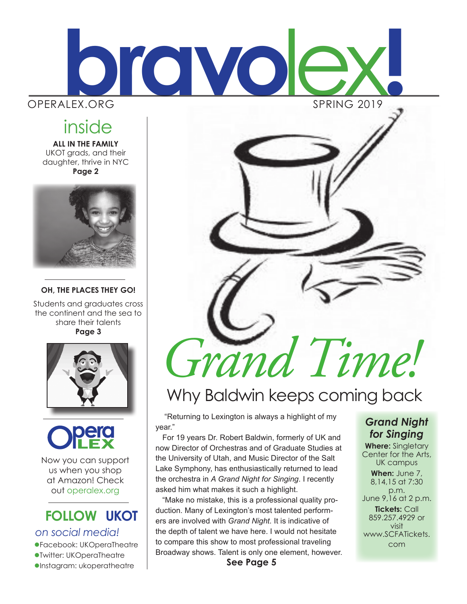

## inside

**ALL IN THE FAMILY** UKOT grads, and their daughter, thrive in NYC **Page 2**



**OH, THE PLACES THEY GO!**

Students and graduates cross the continent and the sea to share their talents **Page 3**



Now you can support us when you shop at Amazon! Check out operalex.org

# **FOLLOW UKOT**

*on social media!*

lFacebook: UKOperaTheatre lTwitter: UKOperaTheatre

 $\bullet$ Instagram: ukoperatheatre



# Why Baldwin keeps coming back

 "Returning to Lexington is always a highlight of my year."

For 19 years Dr. Robert Baldwin, formerly of UK and now Director of Orchestras and of Graduate Studies at the University of Utah, and Music Director of the Salt Lake Symphony, has enthusiastically returned to lead the orchestra in *A Grand Night for Singing*. I recently asked him what makes it such a highlight.

"Make no mistake, this is a professional quality production. Many of Lexington's most talented performers are involved with *Grand Night.* It is indicative of the depth of talent we have here. I would not hesitate to compare this show to most professional traveling Broadway shows. Talent is only one element, however. **See Page 5**

### *Grand Night for Singing*

**Where:** Singletary Center for the Arts, UK campus **When:** June 7, 8,14,15 at 7:30 p.m. June 9,16 at 2 p.m. **Tickets:** Call 859.257.4929 or visit www.SCFATickets. com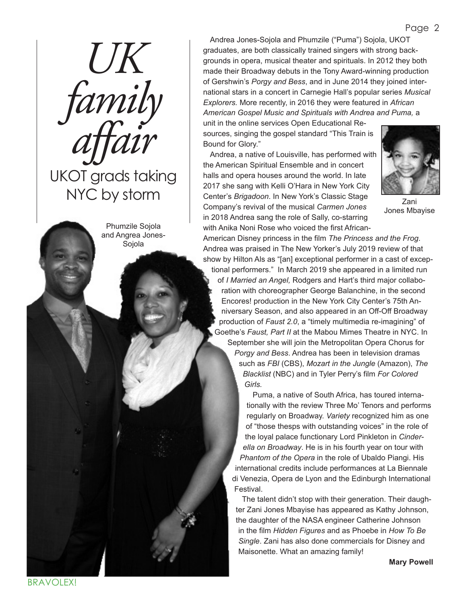*family affair* UKOT grads taking NYC by storm

*UK*

Phumzile Sojola and Angrea Jones-Sojola

Andrea Jones-Sojola and Phumzile ("Puma") Sojola, UKOT graduates, are both classically trained singers with strong backgrounds in opera, musical theater and spirituals. In 2012 they both made their Broadway debuts in the Tony Award-winning production of Gershwin's *Porgy and Bess*, and in June 2014 they joined international stars in a concert in Carnegie Hall's popular series *Musical Explorers.* More recently, in 2016 they were featured in *African American Gospel Music and Spirituals with Andrea and Puma,* a

unit in the online services Open Educational Resources, singing the gospel standard "This Train is Bound for Glory."

Andrea, a native of Louisville, has performed with the American Spiritual Ensemble and in concert halls and opera houses around the world. In late 2017 she sang with Kelli O'Hara in New York City Center's *Brigadoon*. In New York's Classic Stage Company's revival of the musical *Carmen Jones*  in 2018 Andrea sang the role of Sally, co-starring with Anika Noni Rose who voiced the first African-



Zani Jones Mbayise

American Disney princess in the film *The Princess and the Frog*. Andrea was praised in The New Yorker's July 2019 review of that show by Hilton Als as "[an] exceptional performer in a cast of exceptional performers." In March 2019 she appeared in a limited run of *I Married an Angel,* Rodgers and Hart's third major collaboration with choreographer George Balanchine, in the second Encores! production in the New York City Center's 75th Anniversary Season, and also appeared in an Off-Off Broadway production of *Faust 2.0*, a "timely multimedia re-imagining" of Goethe's *Faust, Part II* at the Mabou Mimes Theatre in NYC. In September she will join the Metropolitan Opera Chorus for *Porgy and Bess*. Andrea has been in television dramas such as *FBI* (CBS), *Mozart in the Jungle* (Amazon), *The Blacklist* (NBC) and in Tyler Perry's film *For Colored Girls.*

Puma, a native of South Africa, has toured internationally with the review Three Mo' Tenors and performs regularly on Broadway. *Variety* recognized him as one of "those thesps with outstanding voices" in the role of the loyal palace functionary Lord Pinkleton in *Cinderella on Broadway*. He is in his fourth year on tour with *Phantom of the Opera* in the role of Ubaldo Piangi. His international credits include performances at La Biennale di Venezia, Opera de Lyon and the Edinburgh International Festival.

The talent didn't stop with their generation. Their daughter Zani Jones Mbayise has appeared as Kathy Johnson, the daughter of the NASA engineer Catherine Johnson in the film *Hidden Figures* and as Phoebe in *How To Be Single*. Zani has also done commercials for Disney and Maisonette. What an amazing family!

**Mary Powell**

**BRAVOLEX!**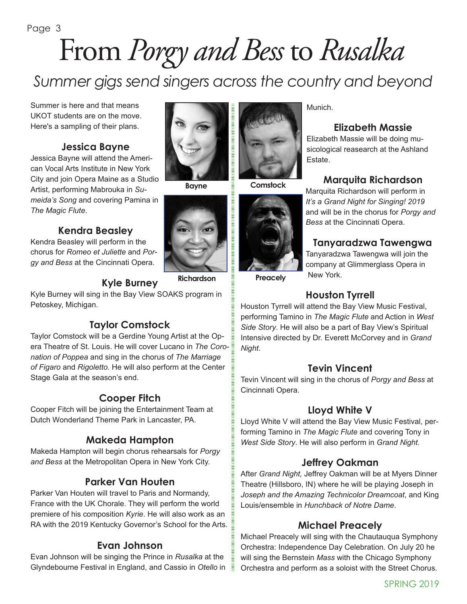### Page 3

# From *Porgy and Bess* to *Rusalka*

*Summer gigs send singers across the country and beyond*

Summer is here and that means UKOT students are on the move. Here's a sampling of their plans.

### **Jessica Bayne**

Jessica Bayne will attend the American Vocal Arts Institute in New York City and join Opera Maine as a Studio Artist, performing Mabrouka in *Sumeida's Song* and covering Pamina in *The Magic Flute*.

### **Kendra Beasley**

Kendra Beasley will perform in the chorus for *Romeo et Juliette* and *Porgy and Bess* at the Cincinnati Opera.

**Bayne**

**Richardson**

Kyle Burney will sing in the Bay View SOAKS program in Petoskey, Michigan.

**Kyle Burney**

### **Taylor Comstock**

Taylor Comstock will be a Gerdine Young Artist at the Opera Theatre of St. Louis. He will cover Lucano in *The Coronation of Poppea* and sing in the chorus of *The Marriage of Figaro* and *Rigoletto.* He will also perform at the Center Stage Gala at the season's end.

### **Cooper Fitch**

Cooper Fitch will be joining the Entertainment Team at Dutch Wonderland Theme Park in Lancaster, PA.

### **Makeda Hampton**

Makeda Hampton will begin chorus rehearsals for *Porgy and Bess* at the Metropolitan Opera in New York City.

### **Parker Van Houten**

Parker Van Houten will travel to Paris and Normandy, France with the UK Chorale. They will perform the world premiere of his composition *Kyrie*. He will also work as an RA with the 2019 Kentucky Governor's School for the Arts.

### **Evan Johnson**

Evan Johnson will be singing the Prince in *Rusalka* at the Glyndebourne Festival in England, and Cassio in *Otello* in



**Comstock**



Munich.

### **Elizabeth Massie**

Elizabeth Massie will be doing musicological reasearch at the Ashland Estate.

### **Marquita Richardson**

Marquita Richardson will perform in *It's a Grand Night for Singing! 2019*  and will be in the chorus for *Porgy and Bess* at the Cincinnati Opera.

### **Tanyaradzwa Tawengwa**

Tanyaradzwa Tawengwa will join the company at Glimmerglass Opera in New York.

**Preacely**

### **Houston Tyrrell**

Houston Tyrrell will attend the Bay View Music Festival, performing Tamino in *The Magic Flute* and Action in *West Side Story*. He will also be a part of Bay View's Spiritual Intensive directed by Dr. Everett McCorvey and in *Grand Night*.

### **Tevin Vincent**

Tevin Vincent will sing in the chorus of *Porgy and Bess* at Cincinnati Opera.

### **Lloyd White V**

Lloyd White V will attend the Bay View Music Festival, performing Tamino in *The Magic Flute* and covering Tony in *West Side Story*. He will also perform in *Grand Night.*

### **Jeffrey Oakman**

After *Grand Night,* Jeffrey Oakman will be at Myers Dinner Theatre (Hillsboro, IN) where he will be playing Joseph in *Joseph and the Amazing Technicolor Dreamcoat*, and King Louis/ensemble in *Hunchback of Notre Dame*.

### **Michael Preacely**

Michael Preacely will sing with the Chautauqua Symphony Orchestra: Independence Day Celebration. On July 20 he will sing the Bernstein *Mass* with the Chicago Symphony Orchestra and perform as a soloist with the Street Chorus.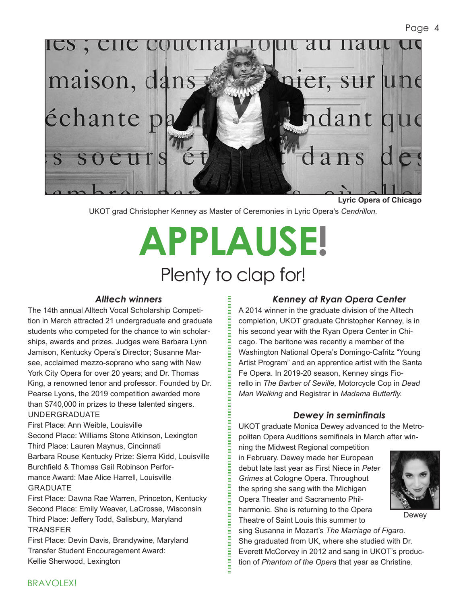

**Lyric Opera of Chicago**

UKOT grad Christopher Kenney as Master of Ceremonies in Lyric Opera's *Cendrillon.*

# **APPLAUSE!** Plenty to clap for!

#### *Alltech winners*

The 14th annual Alltech Vocal Scholarship Competition in March attracted 21 undergraduate and graduate students who competed for the chance to win scholarships, awards and prizes. Judges were Barbara Lynn Jamison, Kentucky Opera's Director; Susanne Marsee, acclaimed mezzo-soprano who sang with New York City Opera for over 20 years; and Dr. Thomas King, a renowned tenor and professor. Founded by Dr. Pearse Lyons, the 2019 competition awarded more than \$740,000 in prizes to these talented singers. UNDERGRADUATE

First Place: Ann Weible, Louisville Second Place: Williams Stone Atkinson, Lexington Third Place: Lauren Maynus, Cincinnati Barbara Rouse Kentucky Prize: Sierra Kidd, Louisville Burchfield & Thomas Gail Robinson Performance Award: Mae Alice Harrell, Louisville GRADUATE

First Place: Dawna Rae Warren, Princeton, Kentucky Second Place: Emily Weaver, LaCrosse, Wisconsin Third Place: Jeffery Todd, Salisbury, Maryland TRANSFER

First Place: Devin Davis, Brandywine, Maryland Transfer Student Encouragement Award: Kellie Sherwood, Lexington

#### *Kenney at Ryan Opera Center*

A 2014 winner in the graduate division of the Alltech completion, UKOT graduate Christopher Kenney, is in his second year with the Ryan Opera Center in Chicago. The baritone was recently a member of the Washington National Opera's Domingo-Cafritz "Young Artist Program" and an apprentice artist with the Santa Fe Opera. In 2019-20 season, Kenney sings Fiorello in *The Barber of Seville,* Motorcycle Cop in *Dead Man Walking* and Registrar in *Madama Butterfly.* 

#### *Dewey in seminfinals*

UKOT graduate Monica Dewey advanced to the Metropolitan Opera Auditions semifinals in March after win-

ning the Midwest Regional competition in February. Dewey made her European debut late last year as First Niece in *Peter Grimes* at Cologne Opera. Throughout the spring she sang with the Michigan Opera Theater and Sacramento Philharmonic. She is returning to the Opera Theatre of Saint Louis this summer to



Dewey

sing Susanna in Mozart's *The Marriage of Figaro.* She graduated from UK, where she studied with Dr. Everett McCorvey in 2012 and sang in UKOT's production of *Phantom of the Opera* that year as Christine.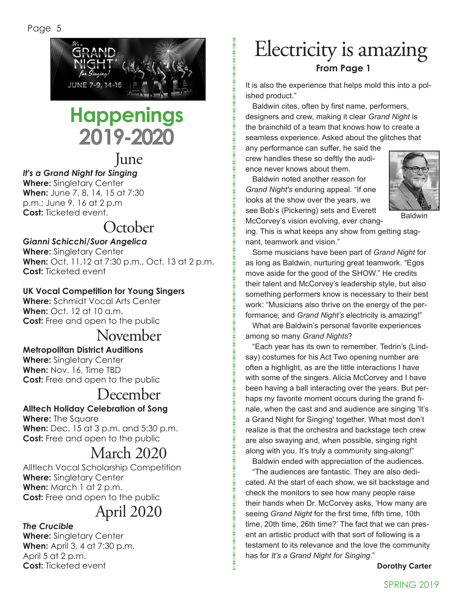

# **Happenings 2019-2020**

### June

### *It's a Grand Night for Singing*

**Where:** Singletary Center **When:** June 7, 8, 14, 15 at 7:30 p.m.; June 9, 16 at 2 p.m **Cost:** Ticketed event.

### October

### *Gianni Schicchi/Suor Angelica*

**Where:** Singletary Center **When:** Oct. 11,12 at 7:30 p.m., Oct. 13 at 2 p.m. **Cost:** Ticketed event

### **UK Vocal Competition for Young Singers**

**Where:** Schmidt Vocal Arts Center **When:** Oct. 12 at 10 a.m. **Cost:** Free and open to the public

### November

### **Metropolitan District Auditions**

**Where:** Singletary Center **When:** Nov. 16, Time TBD **Cost:** Free and open to the public

### December

### **Alltech Holiday Celebration of Song**

**Where:** The Square **When:** Dec. 15 at 3 p.m. and 5:30 p.m. **Cost:** Free and open to the public

### March 2020

Alltlech Vocal Scholarship Competition **Where:** Singletary Center **When:** March 1 at 2 p.m. **Cost:** Free and open to the public

## April 2020

#### *The Crucible*

**Where:** Singletary Center **When:** April 3, 4 at 7:30 p.m. April 5 at 2 p.m. **Cost:** Ticketed event

## **From Page 1** Electricity is amazing

It is also the experience that helps mold this into a polished product."

Baldwin cites, often by first name, performers, designers and crew, making it clear *Grand Night* is the brainchild of a team that knows how to create a seamless experience. Asked about the glitches that any performance can suffer, he said the

crew handles these so deftly the audience never knows about them.

Baldwin noted another reason for *Grand Night's* enduring appeal*.* "If one looks at the show over the years, we see Bob's (Pickering) sets and Everett McCorvey's vision evolving, ever chang-



Baldwin

ing. This is what keeps any show from getting stagnant, teamwork and vision."

Some musicians have been part of *Grand Night* for as long as Baldwin, nurturing great teamwork. "Egos move aside for the good of the SHOW." He credits their talent and McCorvey's leadership style, but also something performers know is necessary to their best work: "Musicians also thrive on the energy of the performance, and *Grand Night's* electricity is amazing!"

What are Baldwin's personal favorite experiences among so many *Grand Nights*?

"Each year has its own to remember. Tedrin's (Lindsay) costumes for his Act Two opening number are often a highlight, as are the little interactions I have with some of the singers. Alicia McCorvey and I have been having a ball interacting over the years. But perhaps my favorite moment occurs during the grand finale, when the cast and and audience are singing 'It's a Grand Night for Singing' together. What most don't realize is that the orchestra and backstage tech crew are also swaying and, when possible, singing right along with you. It's truly a community sing-along!"

Baldwin ended with appreciation of the audiences.

"The audiences are fantastic. They are also dedicated. At the start of each show, we sit backstage and check the monitors to see how many people raise their hands when Dr. McCorvey asks, 'How many are seeing *Grand Night* for the first time, fifth time, 10th time, 20th time, 26th time?' The fact that we can present an artistic product with that sort of following is a testament to its relevance and the love the community has for *It's a Grand Night for Singing*."

**Dorothy Carter**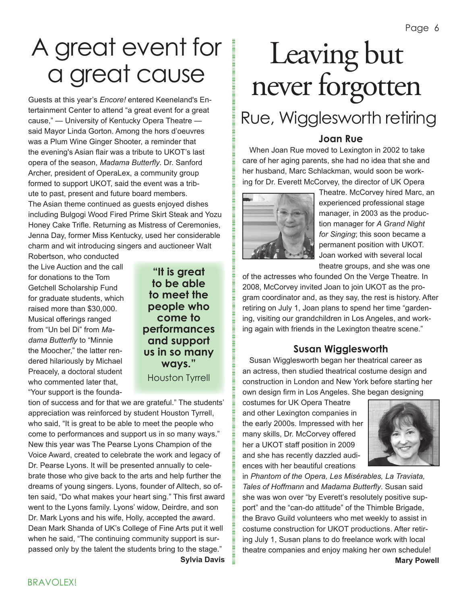# A great event for a great cause

Guests at this year's *Encore!* entered Keeneland's Entertainment Center to attend "a great event for a great cause," — University of Kentucky Opera Theatre said Mayor Linda Gorton. Among the hors d'oeuvres was a Plum Wine Ginger Shooter, a reminder that the evening's Asian flair was a tribute to UKOT's last opera of the season, *Madama Butterfly*. Dr. Sanford Archer, president of OperaLex, a community group formed to support UKOT, said the event was a tribute to past, present and future board members. The Asian theme continued as guests enjoyed dishes including Bulgogi Wood Fired Prime Skirt Steak and Yozu Honey Cake Trifle. Returning as Mistress of Ceremonies, Jenna Day, former Miss Kentucky, used her considerable charm and wit introducing singers and auctioneer Walt

Robertson, who conducted the Live Auction and the call for donations to the Tom Getchell Scholarship Fund for graduate students, which raised more than \$30,000. Musical offerings ranged from "Un bel Di" from *Madama Butterfly* to "Minnie the Moocher," the latter rendered hilariously by Michael Preacely, a doctoral student who commented later that, "Your support is the founda-

**"It is great to be able to meet the people who come to performances and support us in so many ways."**  Houston Tyrrell

tion of success and for that we are grateful." The students' appreciation was reinforced by student Houston Tyrrell, who said, "It is great to be able to meet the people who come to performances and support us in so many ways." New this year was The Pearse Lyons Champion of the Voice Award, created to celebrate the work and legacy of Dr. Pearse Lyons. It will be presented annually to celebrate those who give back to the arts and help further the dreams of young singers. Lyons, founder of Alltech, so often said, "Do what makes your heart sing." This first award went to the Lyons family. Lyons' widow, Deirdre, and son Dr. Mark Lyons and his wife, Holly, accepted the award. Dean Mark Shanda of UK's College of Fine Arts put it well when he said, "The continuing community support is surpassed only by the talent the students bring to the stage." **Sylvia Davis**

Leaving but never forgotten

# Rue, Wigglesworth retiring

### **Joan Rue**

When Joan Rue moved to Lexington in 2002 to take care of her aging parents, she had no idea that she and her husband, Marc Schlackman, would soon be working for Dr. Everett McCorvey, the director of UK Opera



Theatre. McCorvey hired Marc, an experienced professional stage manager, in 2003 as the production manager for *A Grand Night for Singing*; this soon became a permanent position with UKOT. Joan worked with several local theatre groups, and she was one

of the actresses who founded On the Verge Theatre. In 2008, McCorvey invited Joan to join UKOT as the program coordinator and, as they say, the rest is history. After retiring on July 1, Joan plans to spend her time "gardening, visiting our grandchildren in Los Angeles, and working again with friends in the Lexington theatre scene."

### **Susan Wigglesworth**

Susan Wigglesworth began her theatrical career as an actress, then studied theatrical costume design and construction in London and New York before starting her own design firm in Los Angeles. She began designing

costumes for UK Opera Theatre and other Lexington companies in the early 2000s. Impressed with her many skills, Dr. McCorvey offered her a UKOT staff position in 2009 and she has recently dazzled audiences with her beautiful creations



in *Phantom of the Opera, Les Misérables, La Traviata, Tales of Hoffmann* and *Madama Butterfly*. Susan said she was won over "by Everett's resolutely positive support" and the "can-do attitude" of the Thimble Brigade, the Bravo Guild volunteers who met weekly to assist in costume construction for UKOT productions. After retiring July 1, Susan plans to do freelance work with local theatre companies and enjoy making her own schedule! **Mary Powell**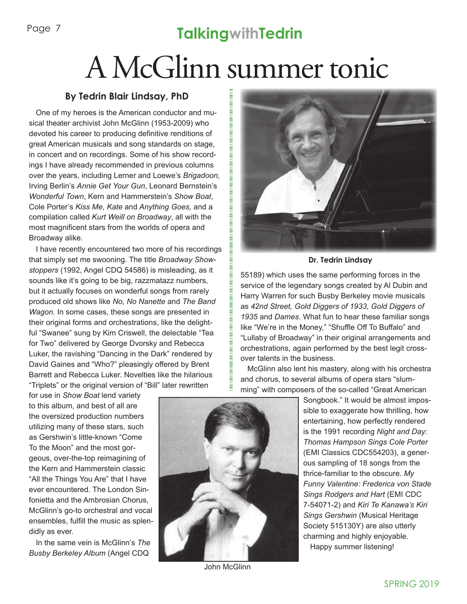## **TalkingwithTedrin**

# A McGlinn summer tonic

### **By Tedrin Blair Lindsay, PhD**

One of my heroes is the American conductor and musical theater archivist John McGlinn (1953-2009) who devoted his career to producing definitive renditions of great American musicals and song standards on stage, in concert and on recordings. Some of his show recordings I have already recommended in previous columns over the years, including Lerner and Loewe's *Brigadoon,* Irving Berlin's *Annie Get Your Gun*, Leonard Bernstein's *Wonderful Town*, Kern and Hammerstein's *Show Boat*, Cole Porter's *Kiss Me, Kate* and *Anything Goes,* and a compilation called *Kurt Weill on Broadway*, all with the most magnificent stars from the worlds of opera and Broadway alike.

I have recently encountered two more of his recordings that simply set me swooning. The title *Broadway Showstoppers* (1992, Angel CDQ 54586) is misleading, as it sounds like it's going to be big, razzmatazz numbers, but it actually focuses on wonderful songs from rarely produced old shows like *No, No Nanette* and *The Band Wagon.* In some cases, these songs are presented in their original forms and orchestrations, like the delightful "Swanee" sung by Kim Criswell, the delectable "Tea for Two" delivered by George Dvorsky and Rebecca Luker, the ravishing "Dancing in the Dark" rendered by David Gaines and "Who?" pleasingly offered by Brent Barrett and Rebecca Luker. Novelties like the hilarious "Triplets" or the original version of "Bill" later rewritten

for use in *Show Boat* lend variety to this album, and best of all are the oversized production numbers utilizing many of these stars, such as Gershwin's little-known "Come To the Moon" and the most gorgeous, over-the-top reimagining of the Kern and Hammerstein classic "All the Things You Are" that I have ever encountered. The London Sinfonietta and the Ambrosian Chorus, McGlinn's go-to orchestral and vocal ensembles, fulfill the music as splendidly as ever.

In the same vein is McGlinn's *The Busby Berkeley Album* (Angel CDQ



John McGlinn



**Dr. Tedrin Lindsay**

55189) which uses the same performing forces in the service of the legendary songs created by Al Dubin and Harry Warren for such Busby Berkeley movie musicals as *42nd Street, Gold Diggers of 1933, Gold Diggers of 1935* and *Dames*. What fun to hear these familiar songs like "We're in the Money," "Shuffle Off To Buffalo" and "Lullaby of Broadway" in their original arrangements and orchestrations, again performed by the best legit crossover talents in the business.

McGlinn also lent his mastery, along with his orchestra and chorus, to several albums of opera stars "slumming" with composers of the so-called "Great American

> Songbook." It would be almost impossible to exaggerate how thrilling, how entertaining, how perfectly rendered is the 1991 recording *Night and Day: Thomas Hampson Sings Cole Porter*  (EMI Classics CDC554203), a generous sampling of 18 songs from the thrice-familiar to the obscure. *My Funny Valentine: Frederica von Stade Sings Rodgers and Hart* (EMI CDC 7-54071-2) and *Kiri Te Kanawa's Kiri Sings Gershwin* (Musical Heritage Society 515130Y) are also utterly charming and highly enjoyable.

Happy summer listening!